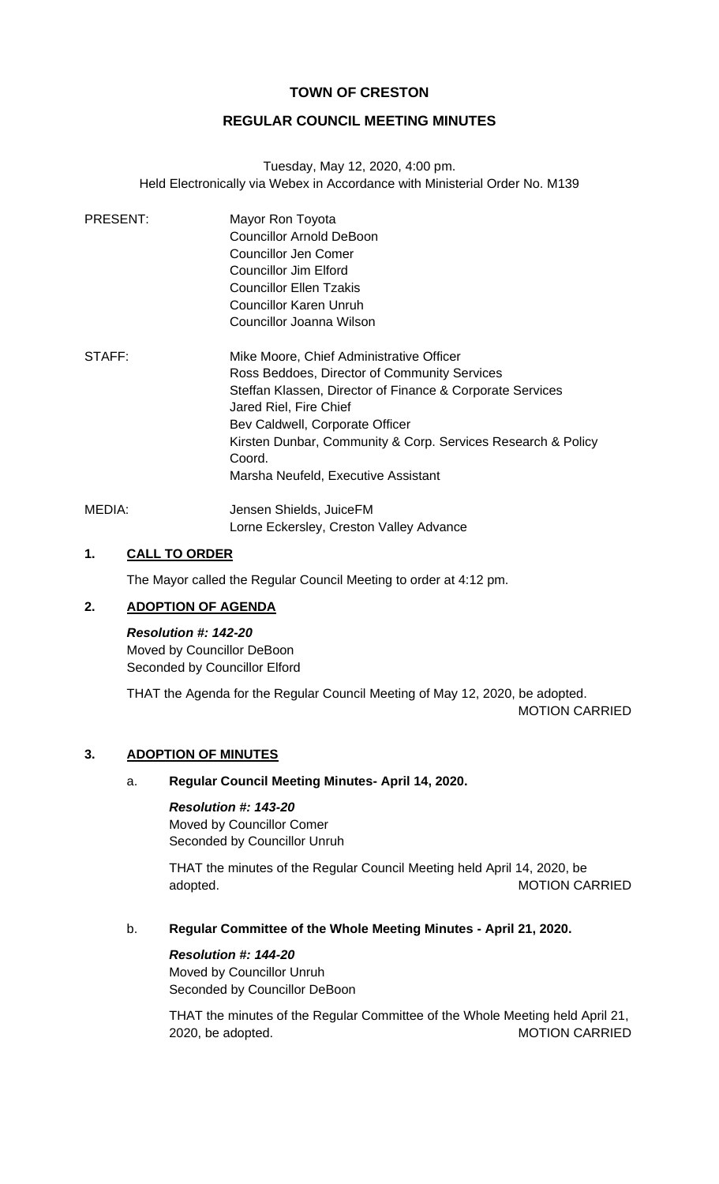# **TOWN OF CRESTON**

# **REGULAR COUNCIL MEETING MINUTES**

Tuesday, May 12, 2020, 4:00 pm. Held Electronically via Webex in Accordance with Ministerial Order No. M139

| PRESENT:   | Mayor Ron Toyota<br><b>Councillor Arnold DeBoon</b><br>Councillor Jen Comer<br>Councillor Jim Elford<br>Councillor Ellen Tzakis |
|------------|---------------------------------------------------------------------------------------------------------------------------------|
|            | <b>Councillor Karen Unruh</b>                                                                                                   |
|            | Councillor Joanna Wilson                                                                                                        |
| STAFF:     | Mike Moore, Chief Administrative Officer<br>Ross Beddoes, Director of Community Services                                        |
|            | Steffan Klassen, Director of Finance & Corporate Services<br>Jared Riel, Fire Chief                                             |
|            | Bev Caldwell, Corporate Officer                                                                                                 |
|            | Kirsten Dunbar, Community & Corp. Services Research & Policy                                                                    |
|            | Coord.                                                                                                                          |
|            | Marsha Neufeld, Executive Assistant                                                                                             |
| 11 E DI 1. | Jongon Chielde JuiceEM                                                                                                          |

MEDIA: Jensen Shields, JuiceFM Lorne Eckersley, Creston Valley Advance

# **1. CALL TO ORDER**

The Mayor called the Regular Council Meeting to order at 4:12 pm.

# **2. ADOPTION OF AGENDA**

*Resolution #: 142-20* Moved by Councillor DeBoon Seconded by Councillor Elford

THAT the Agenda for the Regular Council Meeting of May 12, 2020, be adopted. MOTION CARRIED

### **3. ADOPTION OF MINUTES**

#### a. **Regular Council Meeting Minutes- April 14, 2020.**

*Resolution #: 143-20* Moved by Councillor Comer Seconded by Councillor Unruh

THAT the minutes of the Regular Council Meeting held April 14, 2020, be adopted. The contract of the contract of the matrix of the MOTION CARRIED

# b. **Regular Committee of the Whole Meeting Minutes - April 21, 2020.**

## *Resolution #: 144-20*

Moved by Councillor Unruh Seconded by Councillor DeBoon

THAT the minutes of the Regular Committee of the Whole Meeting held April 21, 2020, be adopted. The matrix of the MOTION CARRIED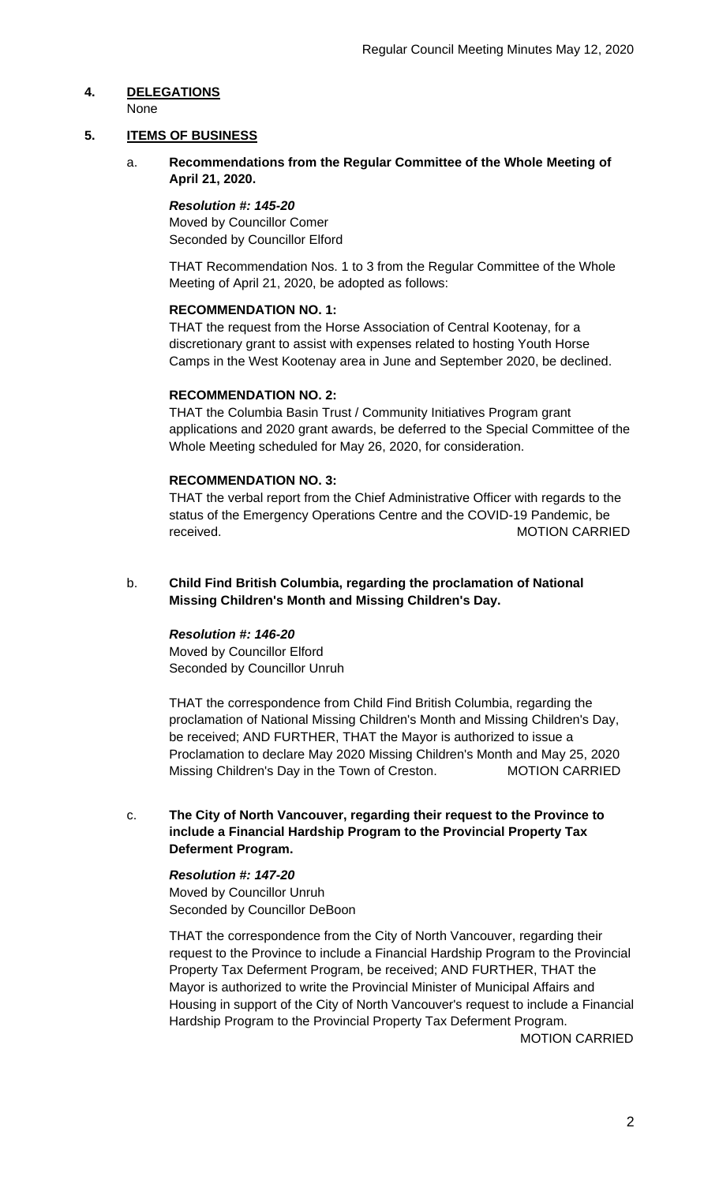# **4. DELEGATIONS**

# None

# **5. ITEMS OF BUSINESS**

a. **Recommendations from the Regular Committee of the Whole Meeting of April 21, 2020.**

# *Resolution #: 145-20*

Moved by Councillor Comer Seconded by Councillor Elford

THAT Recommendation Nos. 1 to 3 from the Regular Committee of the Whole Meeting of April 21, 2020, be adopted as follows:

## **RECOMMENDATION NO. 1:**

THAT the request from the Horse Association of Central Kootenay, for a discretionary grant to assist with expenses related to hosting Youth Horse Camps in the West Kootenay area in June and September 2020, be declined.

## **RECOMMENDATION NO. 2:**

THAT the Columbia Basin Trust / Community Initiatives Program grant applications and 2020 grant awards, be deferred to the Special Committee of the Whole Meeting scheduled for May 26, 2020, for consideration.

## **RECOMMENDATION NO. 3:**

THAT the verbal report from the Chief Administrative Officer with regards to the status of the Emergency Operations Centre and the COVID-19 Pandemic, be received. MOTION CARRIED

b. **Child Find British Columbia, regarding the proclamation of National Missing Children's Month and Missing Children's Day.**

## *Resolution #: 146-20*

Moved by Councillor Elford Seconded by Councillor Unruh

THAT the correspondence from Child Find British Columbia, regarding the proclamation of National Missing Children's Month and Missing Children's Day, be received; AND FURTHER, THAT the Mayor is authorized to issue a Proclamation to declare May 2020 Missing Children's Month and May 25, 2020 Missing Children's Day in the Town of Creston. MOTION CARRIED

# c. **The City of North Vancouver, regarding their request to the Province to include a Financial Hardship Program to the Provincial Property Tax Deferment Program.**

### *Resolution #: 147-20* Moved by Councillor Unruh Seconded by Councillor DeBoon

THAT the correspondence from the City of North Vancouver, regarding their request to the Province to include a Financial Hardship Program to the Provincial Property Tax Deferment Program, be received; AND FURTHER, THAT the Mayor is authorized to write the Provincial Minister of Municipal Affairs and Housing in support of the City of North Vancouver's request to include a Financial Hardship Program to the Provincial Property Tax Deferment Program.

MOTION CARRIED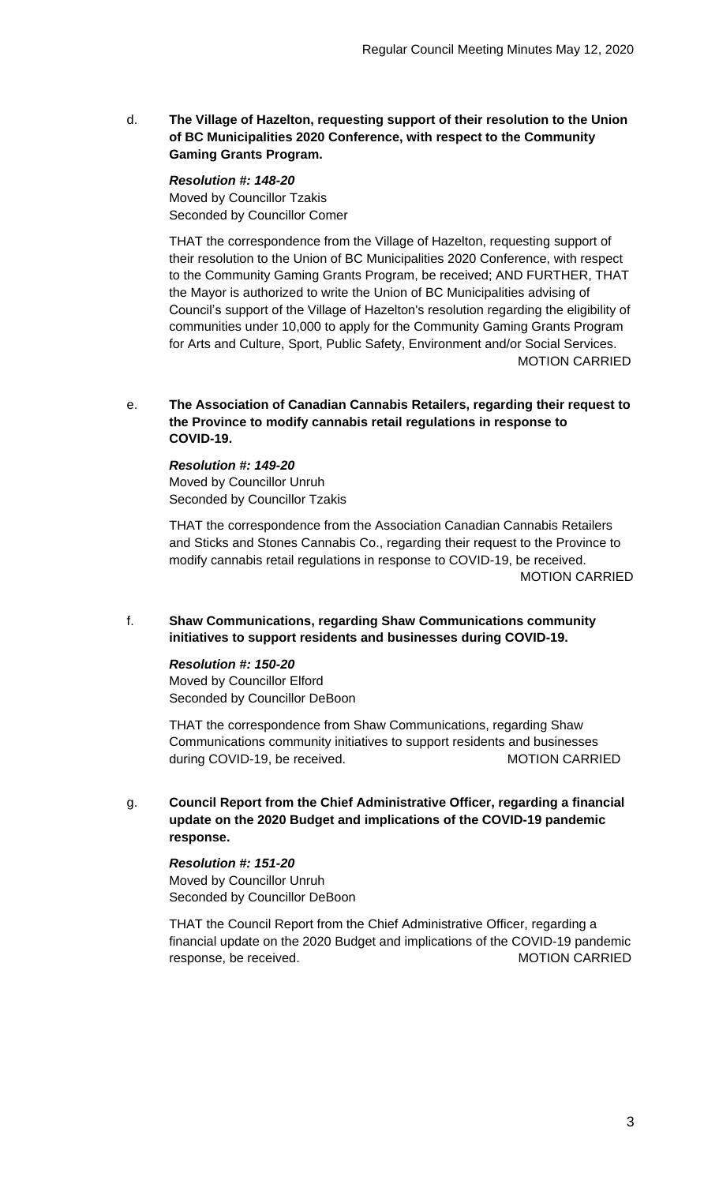d. **The Village of Hazelton, requesting support of their resolution to the Union of BC Municipalities 2020 Conference, with respect to the Community Gaming Grants Program.**

*Resolution #: 148-20* Moved by Councillor Tzakis Seconded by Councillor Comer

THAT the correspondence from the Village of Hazelton, requesting support of their resolution to the Union of BC Municipalities 2020 Conference, with respect to the Community Gaming Grants Program, be received; AND FURTHER, THAT the Mayor is authorized to write the Union of BC Municipalities advising of Council's support of the Village of Hazelton's resolution regarding the eligibility of communities under 10,000 to apply for the Community Gaming Grants Program for Arts and Culture, Sport, Public Safety, Environment and/or Social Services. MOTION CARRIED

### e. **The Association of Canadian Cannabis Retailers, regarding their request to the Province to modify cannabis retail regulations in response to COVID-19.**

*Resolution #: 149-20* Moved by Councillor Unruh Seconded by Councillor Tzakis

THAT the correspondence from the Association Canadian Cannabis Retailers and Sticks and Stones Cannabis Co., regarding their request to the Province to modify cannabis retail regulations in response to COVID-19, be received. MOTION CARRIED

# f. **Shaw Communications, regarding Shaw Communications community initiatives to support residents and businesses during COVID-19.**

# *Resolution #: 150-20*

Moved by Councillor Elford Seconded by Councillor DeBoon

THAT the correspondence from Shaw Communications, regarding Shaw Communications community initiatives to support residents and businesses during COVID-19, be received. MOTION CARRIED

g. **Council Report from the Chief Administrative Officer, regarding a financial update on the 2020 Budget and implications of the COVID-19 pandemic response.**

### *Resolution #: 151-20* Moved by Councillor Unruh Seconded by Councillor DeBoon

THAT the Council Report from the Chief Administrative Officer, regarding a financial update on the 2020 Budget and implications of the COVID-19 pandemic response, be received. The matrix of the matrix of the MOTION CARRIED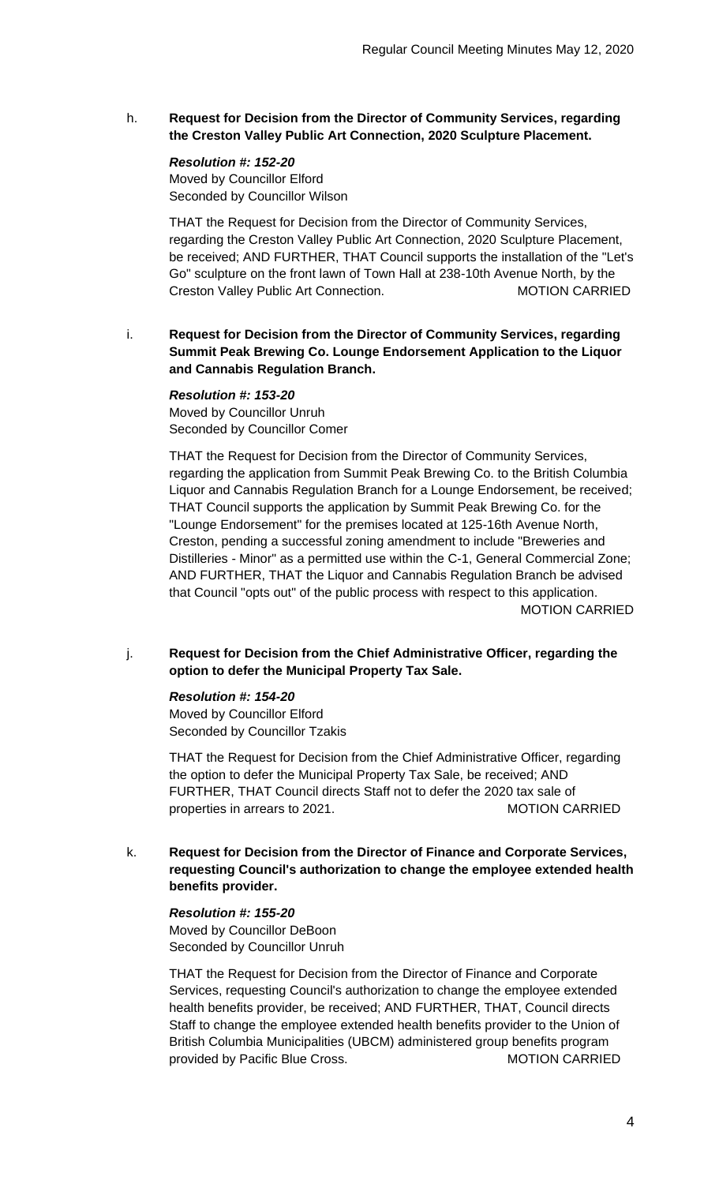h. **Request for Decision from the Director of Community Services, regarding the Creston Valley Public Art Connection, 2020 Sculpture Placement.**

*Resolution #: 152-20* Moved by Councillor Elford Seconded by Councillor Wilson

THAT the Request for Decision from the Director of Community Services, regarding the Creston Valley Public Art Connection, 2020 Sculpture Placement, be received; AND FURTHER, THAT Council supports the installation of the "Let's Go" sculpture on the front lawn of Town Hall at 238-10th Avenue North, by the Creston Valley Public Art Connection. The MOTION CARRIED

i. **Request for Decision from the Director of Community Services, regarding Summit Peak Brewing Co. Lounge Endorsement Application to the Liquor and Cannabis Regulation Branch.**

*Resolution #: 153-20* Moved by Councillor Unruh Seconded by Councillor Comer

THAT the Request for Decision from the Director of Community Services, regarding the application from Summit Peak Brewing Co. to the British Columbia Liquor and Cannabis Regulation Branch for a Lounge Endorsement, be received; THAT Council supports the application by Summit Peak Brewing Co. for the "Lounge Endorsement" for the premises located at 125-16th Avenue North, Creston, pending a successful zoning amendment to include "Breweries and Distilleries - Minor" as a permitted use within the C-1, General Commercial Zone; AND FURTHER, THAT the Liquor and Cannabis Regulation Branch be advised that Council "opts out" of the public process with respect to this application. MOTION CARRIED

## j. **Request for Decision from the Chief Administrative Officer, regarding the option to defer the Municipal Property Tax Sale.**

#### *Resolution #: 154-20*

Moved by Councillor Elford Seconded by Councillor Tzakis

THAT the Request for Decision from the Chief Administrative Officer, regarding the option to defer the Municipal Property Tax Sale, be received; AND FURTHER, THAT Council directs Staff not to defer the 2020 tax sale of properties in arrears to 2021. MOTION CARRIED

k. **Request for Decision from the Director of Finance and Corporate Services, requesting Council's authorization to change the employee extended health benefits provider.**

#### *Resolution #: 155-20*

Moved by Councillor DeBoon Seconded by Councillor Unruh

THAT the Request for Decision from the Director of Finance and Corporate Services, requesting Council's authorization to change the employee extended health benefits provider, be received; AND FURTHER, THAT, Council directs Staff to change the employee extended health benefits provider to the Union of British Columbia Municipalities (UBCM) administered group benefits program provided by Pacific Blue Cross. MOTION CARRIED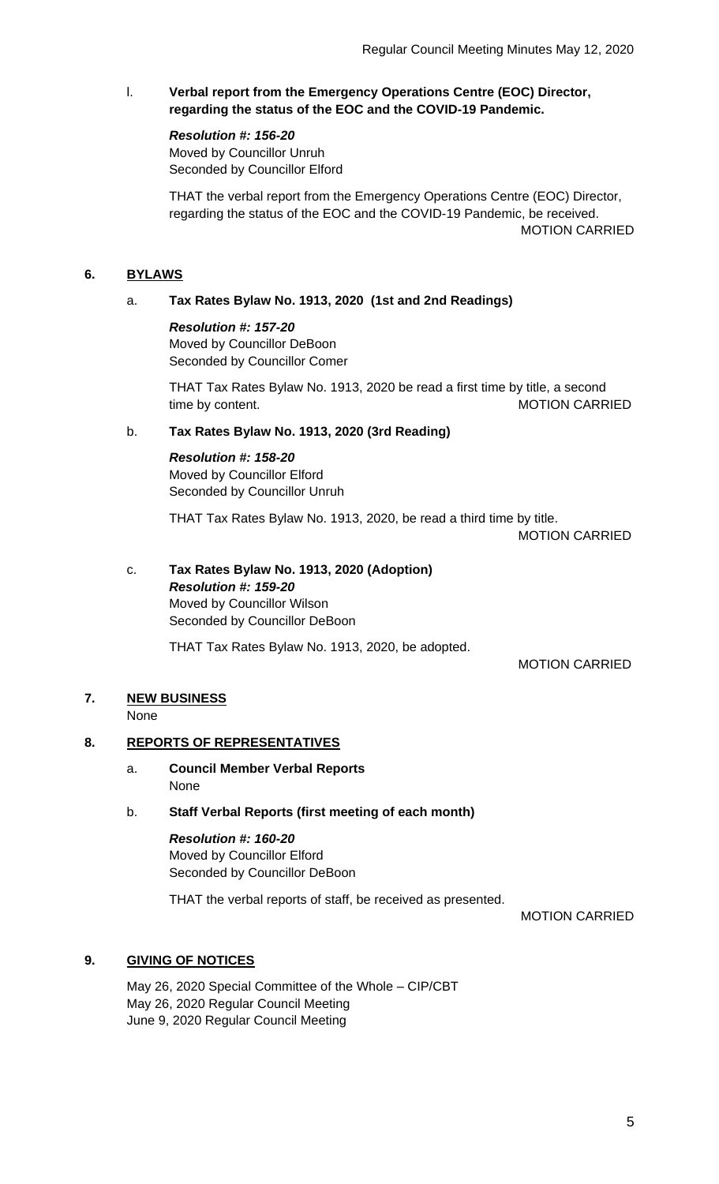# l. **Verbal report from the Emergency Operations Centre (EOC) Director, regarding the status of the EOC and the COVID-19 Pandemic.**

#### *Resolution #: 156-20*

Moved by Councillor Unruh Seconded by Councillor Elford

THAT the verbal report from the Emergency Operations Centre (EOC) Director, regarding the status of the EOC and the COVID-19 Pandemic, be received. MOTION CARRIED

# **6. BYLAWS**

# a. **Tax Rates Bylaw No. 1913, 2020 (1st and 2nd Readings)**

#### *Resolution #: 157-20*

Moved by Councillor DeBoon Seconded by Councillor Comer

THAT Tax Rates Bylaw No. 1913, 2020 be read a first time by title, a second time by content. The content of the content of the MOTION CARRIED

# b. **Tax Rates Bylaw No. 1913, 2020 (3rd Reading)**

*Resolution #: 158-20* Moved by Councillor Elford Seconded by Councillor Unruh

THAT Tax Rates Bylaw No. 1913, 2020, be read a third time by title.

MOTION CARRIED

# c. **Tax Rates Bylaw No. 1913, 2020 (Adoption)** *Resolution #: 159-20* Moved by Councillor Wilson Seconded by Councillor DeBoon

THAT Tax Rates Bylaw No. 1913, 2020, be adopted.

MOTION CARRIED

#### **7. NEW BUSINESS**

**None** 

## **8. REPORTS OF REPRESENTATIVES**

a. **Council Member Verbal Reports** None

#### b. **Staff Verbal Reports (first meeting of each month)**

*Resolution #: 160-20* Moved by Councillor Elford Seconded by Councillor DeBoon

THAT the verbal reports of staff, be received as presented.

MOTION CARRIED

# **9. GIVING OF NOTICES**

May 26, 2020 Special Committee of the Whole – CIP/CBT May 26, 2020 Regular Council Meeting June 9, 2020 Regular Council Meeting